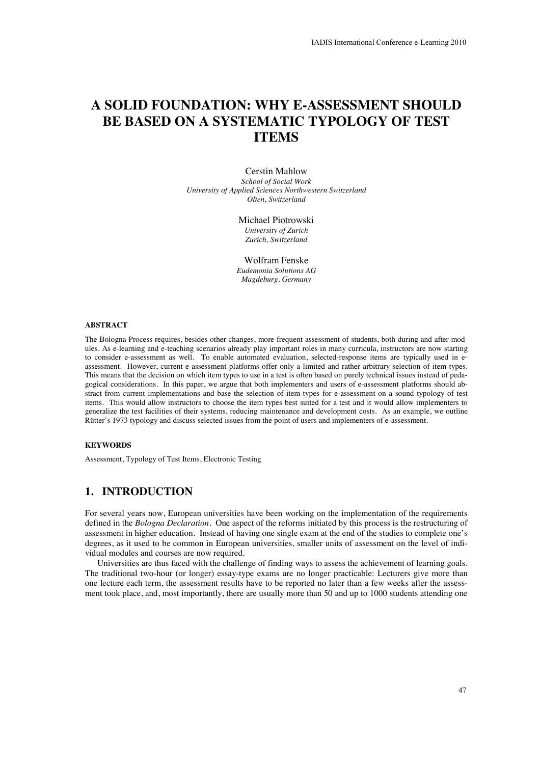# **A SOLID FOUNDATION: WHY E-ASSESSMENT SHOULD BE BASED ON A SYSTEMATIC TYPOLOGY OF TEST ITEMS**

Cerstin Mahlow *School of Social Work University of Applied Sciences Northwestern Switzerland Olten, Switzerland* 

> Michael Piotrowski *University of Zurich Zurich, Switzerland*

Wolfram Fenske *Eudemonia Solutions AG Magdeburg, Germany* 

#### **ABSTRACT**

The Bologna Process requires, besides other changes, more frequent assessment of students, both during and after modules. As e-learning and e-teaching scenarios already play important roles in many curricula, instructors are now starting to consider e-assessment as well. To enable automated evaluation, selected-response items are typically used in eassessment. However, current e-assessment platforms offer only a limited and rather arbitrary selection of item types. This means that the decision on which item types to use in a test is often based on purely technical issues instead of pedagogical considerations. In this paper, we argue that both implementers and users of e-assessment platforms should abstract from current implementations and base the selection of item types for e-assessment on a sound typology of test items. This would allow instructors to choose the item types best suited for a test and it would allow implementers to generalize the test facilities of their systems, reducing maintenance and development costs. As an example, we outline Rütter's 1973 typology and discuss selected issues from the point of users and implementers of e-assessment.

#### **KEYWORDS**

Assessment, Typology of Test Items, Electronic Testing

# **1. INTRODUCTION**

For several years now, European universities have been working on the implementation of the requirements defined in the *Bologna Declaration*. One aspect of the reforms initiated by this process is the restructuring of assessment in higher education. Instead of having one single exam at the end of the studies to complete one's degrees, as it used to be common in European universities, smaller units of assessment on the level of individual modules and courses are now required.

Universities are thus faced with the challenge of finding ways to assess the achievement of learning goals. The traditional two-hour (or longer) essay-type exams are no longer practicable: Lecturers give more than one lecture each term, the assessment results have to be reported no later than a few weeks after the assessment took place, and, most importantly, there are usually more than 50 and up to 1000 students attending one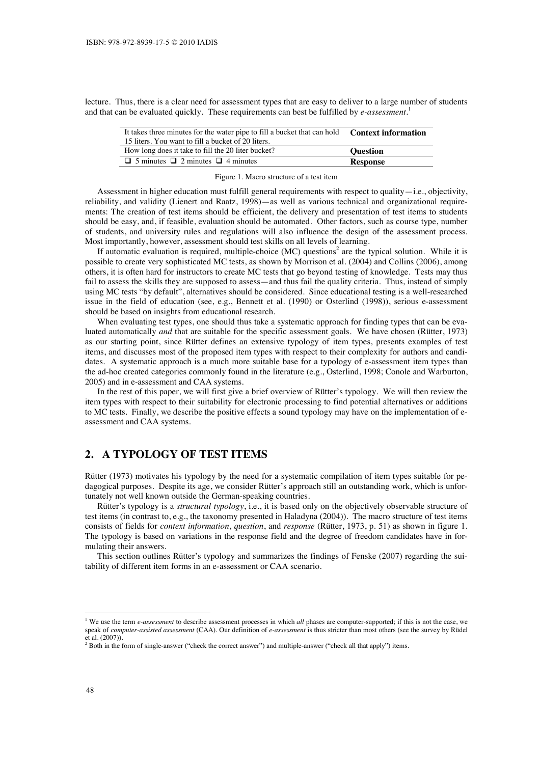lecture. Thus, there is a clear need for assessment types that are easy to deliver to a large number of students and that can be evaluated quickly. These requirements can best be fulfilled by *e-assessment*. 1

| It takes three minutes for the water pipe to fill a bucket that can hold | <b>Context information</b> |
|--------------------------------------------------------------------------|----------------------------|
| 15 liters. You want to fill a bucket of 20 liters.                       |                            |
| How long does it take to fill the 20 liter bucket?                       | <b>Ouestion</b>            |
| $\Box$ 5 minutes $\Box$ 2 minutes $\Box$ 4 minutes                       | <b>Response</b>            |

#### Figure 1. Macro structure of a test item

Assessment in higher education must fulfill general requirements with respect to quality—i.e., objectivity, reliability, and validity (Lienert and Raatz, 1998)—as well as various technical and organizational requirements: The creation of test items should be efficient, the delivery and presentation of test items to students should be easy, and, if feasible, evaluation should be automated. Other factors, such as course type, number of students, and university rules and regulations will also influence the design of the assessment process. Most importantly, however, assessment should test skills on all levels of learning.

If automatic evaluation is required, multiple-choice (MC) questions<sup>2</sup> are the typical solution. While it is possible to create very sophisticated MC tests, as shown by Morrison et al. (2004) and Collins (2006), among others, it is often hard for instructors to create MC tests that go beyond testing of knowledge. Tests may thus fail to assess the skills they are supposed to assess—and thus fail the quality criteria. Thus, instead of simply using MC tests "by default", alternatives should be considered. Since educational testing is a well-researched issue in the field of education (see, e.g., Bennett et al. (1990) or Osterlind (1998)), serious e-assessment should be based on insights from educational research.

When evaluating test types, one should thus take a systematic approach for finding types that can be evaluated automatically *and* that are suitable for the specific assessment goals. We have chosen (Rütter, 1973) as our starting point, since Rütter defines an extensive typology of item types, presents examples of test items, and discusses most of the proposed item types with respect to their complexity for authors and candidates. A systematic approach is a much more suitable base for a typology of e-assessment item types than the ad-hoc created categories commonly found in the literature (e.g., Osterlind, 1998; Conole and Warburton, 2005) and in e-assessment and CAA systems.

In the rest of this paper, we will first give a brief overview of Rütter's typology. We will then review the item types with respect to their suitability for electronic processing to find potential alternatives or additions to MC tests. Finally, we describe the positive effects a sound typology may have on the implementation of eassessment and CAA systems.

# **2. A TYPOLOGY OF TEST ITEMS**

Rütter (1973) motivates his typology by the need for a systematic compilation of item types suitable for pedagogical purposes. Despite its age, we consider Rütter's approach still an outstanding work, which is unfortunately not well known outside the German-speaking countries.

Rütter's typology is a *structural typology*, i.e., it is based only on the objectively observable structure of test items (in contrast to, e.g., the taxonomy presented in Haladyna (2004)). The macro structure of test items consists of fields for *context information*, *question*, and *response* (Rütter, 1973, p. 51) as shown in figure 1. The typology is based on variations in the response field and the degree of freedom candidates have in formulating their answers.

This section outlines Rütter's typology and summarizes the findings of Fenske (2007) regarding the suitability of different item forms in an e-assessment or CAA scenario.

-

<sup>&</sup>lt;sup>1</sup> We use the term *e-assessment* to describe assessment processes in which *all* phases are computer-supported; if this is not the case, we speak of *computer-assisted assessment* (CAA). Our definition of *e-assessment* is thus stricter than most others (see the survey by Rüdel et al.  $(2007)$ ).<br><sup>2</sup> Both in the f

Both in the form of single-answer ("check the correct answer") and multiple-answer ("check all that apply") items.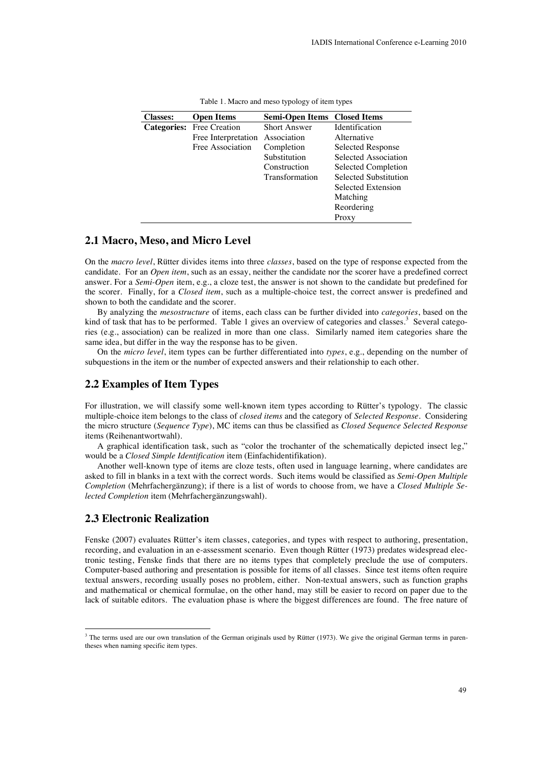| <b>Classes:</b>    | <b>Open Items</b>   | Semi-Open Items Closed Items |                       |
|--------------------|---------------------|------------------------------|-----------------------|
| <b>Categories:</b> | Free Creation       | <b>Short Answer</b>          | <b>Identification</b> |
|                    | Free Interpretation | Association                  | Alternative           |
|                    | Free Association    | Completion                   | Selected Response     |
|                    |                     | Substitution                 | Selected Association  |
|                    |                     | Construction                 | Selected Completion   |
|                    |                     | Transformation               | Selected Substitution |
|                    |                     |                              | Selected Extension    |
|                    |                     |                              | Matching              |
|                    |                     |                              | Reordering            |
|                    |                     |                              | Proxy                 |

| Table 1. Macro and meso typology of item types |  |  |
|------------------------------------------------|--|--|
|------------------------------------------------|--|--|

### **2.1 Macro, Meso, and Micro Level**

On the *macro level*, Rütter divides items into three *classes*, based on the type of response expected from the candidate. For an *Open item*, such as an essay, neither the candidate nor the scorer have a predefined correct answer. For a *Semi-Open* item, e.g., a cloze test, the answer is not shown to the candidate but predefined for the scorer. Finally, for a *Closed item*, such as a multiple-choice test, the correct answer is predefined and shown to both the candidate and the scorer.

By analyzing the *mesostructure* of items, each class can be further divided into *categories*, based on the kind of task that has to be performed. Table 1 gives an overview of categories and classes.<sup>3</sup> Several categories (e.g., association) can be realized in more than one class. Similarly named item categories share the same idea, but differ in the way the response has to be given.

On the *micro level*, item types can be further differentiated into *types*, e.g., depending on the number of subquestions in the item or the number of expected answers and their relationship to each other.

### **2.2 Examples of Item Types**

For illustration, we will classify some well-known item types according to Rütter's typology. The classic multiple-choice item belongs to the class of *closed items* and the category of *Selected Response*. Considering the micro structure (*Sequence Type*), MC items can thus be classified as *Closed Sequence Selected Response* items (Reihenantwortwahl).

A graphical identification task, such as "color the trochanter of the schematically depicted insect leg," would be a *Closed Simple Identification* item (Einfachidentifikation).

Another well-known type of items are cloze tests, often used in language learning, where candidates are asked to fill in blanks in a text with the correct words. Such items would be classified as *Semi-Open Multiple Completion* (Mehrfachergänzung); if there is a list of words to choose from, we have a *Closed Multiple Selected Completion* item (Mehrfachergänzungswahl).

### **2.3 Electronic Realization**

Fenske (2007) evaluates Rütter's item classes, categories, and types with respect to authoring, presentation, recording, and evaluation in an e-assessment scenario. Even though Rütter (1973) predates widespread electronic testing, Fenske finds that there are no items types that completely preclude the use of computers. Computer-based authoring and presentation is possible for items of all classes. Since test items often require textual answers, recording usually poses no problem, either. Non-textual answers, such as function graphs and mathematical or chemical formulae, on the other hand, may still be easier to record on paper due to the lack of suitable editors. The evaluation phase is where the biggest differences are found. The free nature of

The terms used are our own translation of the German originals used by Rütter (1973). We give the original German terms in parentheses when naming specific item types.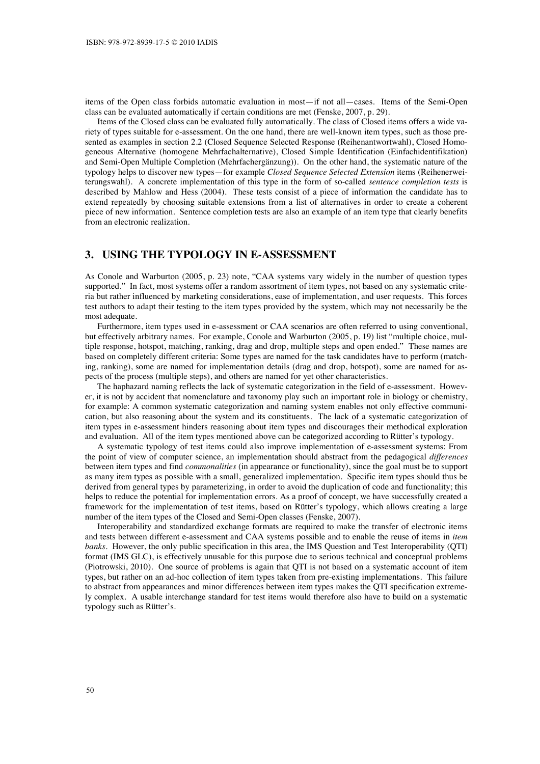items of the Open class forbids automatic evaluation in most—if not all—cases. Items of the Semi-Open class can be evaluated automatically if certain conditions are met (Fenske, 2007, p. 29).

Items of the Closed class can be evaluated fully automatically. The class of Closed items offers a wide variety of types suitable for e-assessment. On the one hand, there are well-known item types, such as those presented as examples in section 2.2 (Closed Sequence Selected Response (Reihenantwortwahl), Closed Homogeneous Alternative (homogene Mehrfachalternative), Closed Simple Identification (Einfachidentifikation) and Semi-Open Multiple Completion (Mehrfachergänzung)). On the other hand, the systematic nature of the typology helps to discover new types—for example *Closed Sequence Selected Extension* items (Reihenerweiterungswahl). A concrete implementation of this type in the form of so-called *sentence completion tests* is described by Mahlow and Hess (2004). These tests consist of a piece of information the candidate has to extend repeatedly by choosing suitable extensions from a list of alternatives in order to create a coherent piece of new information. Sentence completion tests are also an example of an item type that clearly benefits from an electronic realization.

### **3. USING THE TYPOLOGY IN E-ASSESSMENT**

As Conole and Warburton (2005, p. 23) note, "CAA systems vary widely in the number of question types supported." In fact, most systems offer a random assortment of item types, not based on any systematic criteria but rather influenced by marketing considerations, ease of implementation, and user requests. This forces test authors to adapt their testing to the item types provided by the system, which may not necessarily be the most adequate.

Furthermore, item types used in e-assessment or CAA scenarios are often referred to using conventional, but effectively arbitrary names. For example, Conole and Warburton (2005, p. 19) list "multiple choice, multiple response, hotspot, matching, ranking, drag and drop, multiple steps and open ended." These names are based on completely different criteria: Some types are named for the task candidates have to perform (matching, ranking), some are named for implementation details (drag and drop, hotspot), some are named for aspects of the process (multiple steps), and others are named for yet other characteristics.

The haphazard naming reflects the lack of systematic categorization in the field of e-assessment. However, it is not by accident that nomenclature and taxonomy play such an important role in biology or chemistry, for example: A common systematic categorization and naming system enables not only effective communication, but also reasoning about the system and its constituents. The lack of a systematic categorization of item types in e-assessment hinders reasoning about item types and discourages their methodical exploration and evaluation. All of the item types mentioned above can be categorized according to Rütter's typology.

A systematic typology of test items could also improve implementation of e-assessment systems: From the point of view of computer science, an implementation should abstract from the pedagogical *differences* between item types and find *commonalities* (in appearance or functionality), since the goal must be to support as many item types as possible with a small, generalized implementation. Specific item types should thus be derived from general types by parameterizing, in order to avoid the duplication of code and functionality; this helps to reduce the potential for implementation errors. As a proof of concept, we have successfully created a framework for the implementation of test items, based on Rütter's typology, which allows creating a large number of the item types of the Closed and Semi-Open classes (Fenske, 2007).

Interoperability and standardized exchange formats are required to make the transfer of electronic items and tests between different e-assessment and CAA systems possible and to enable the reuse of items in *item banks*. However, the only public specification in this area, the IMS Question and Test Interoperability (QTI) format (IMS GLC), is effectively unusable for this purpose due to serious technical and conceptual problems (Piotrowski, 2010). One source of problems is again that QTI is not based on a systematic account of item types, but rather on an ad-hoc collection of item types taken from pre-existing implementations. This failure to abstract from appearances and minor differences between item types makes the QTI specification extremely complex. A usable interchange standard for test items would therefore also have to build on a systematic typology such as Rütter's.